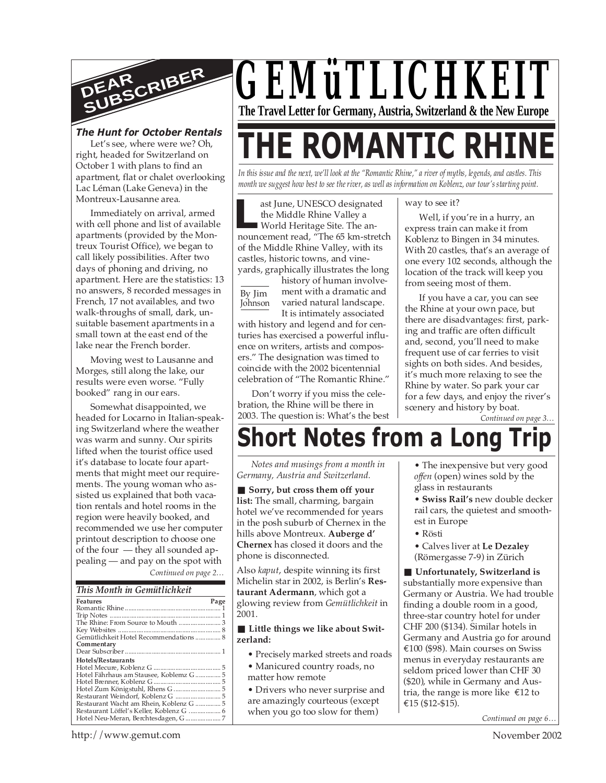

#### *The Hunt for October Rentals*

Let's see, where were we? Oh, right, headed for Switzerland on October 1 with plans to find an apartment, flat or chalet overlooking Lac Léman (Lake Geneva) in the Montreux-Lausanne area.

Immediately on arrival, armed with cell phone and list of available apartments (provided by the Montreux Tourist Office), we began to call likely possibilities. After two days of phoning and driving, no apartment. Here are the statistics: 13 no answers, 8 recorded messages in French, 17 not availables, and two walk-throughs of small, dark, unsuitable basement apartments in a small town at the east end of the lake near the French border.

Moving west to Lausanne and Morges, still along the lake, our results were even worse. "Fully booked" rang in our ears.

*Continued on page 2…* Somewhat disappointed, we headed for Locarno in Italian-speaking Switzerland where the weather was warm and sunny. Our spirits lifted when the tourist office used it's database to locate four apartments that might meet our requirements. The young woman who assisted us explained that both vacation rentals and hotel rooms in the region were heavily booked, and recommended we use her computer printout description to choose one of the four — they all sounded appealing — and pay on the spot with

#### *This Month in Gemütlichkeit*

| <b>Features</b>                          | Page |
|------------------------------------------|------|
|                                          |      |
|                                          |      |
|                                          |      |
|                                          |      |
| Gemütlichkeit Hotel Recommendations  8   |      |
| Commentary                               |      |
|                                          |      |
| Hotels/Restaurants                       |      |
|                                          |      |
| Hotel Fährhaus am Stausee, Koblemz G  5  |      |
|                                          |      |
|                                          |      |
|                                          |      |
| Restaurant Wacht am Rhein, Koblenz G  5  |      |
| Restaurant Löffel's Keller, Koblenz G  6 |      |
|                                          |      |
|                                          |      |

## *GEMüTLICHKEIT* **The Travel Letter for Germany, Austria, Switzerland & the New Europe**

# **THE ROMANTIC RHII**

*In this issue and the next, we'll look at the "Romantic Rhine," a river of myths, legends, and castles. This month we suggest how best to see the river, as well as information on Koblenz, our tour's starting point.*

**Land School School School School School School School School School School School School School School School School School School School School School School School School School School School School School School School** ast June, UNESCO designated the Middle Rhine Valley a World Heritage Site. The anof the Middle Rhine Valley, with its castles, historic towns, and vineyards, graphically illustrates the long

By Jim **Johnson** history of human involvement with a dramatic and varied natural landscape.

It is intimately associated with history and legend and for centuries has exercised a powerful influence on writers, artists and composers." The designation was timed to coincide with the 2002 bicentennial celebration of "The Romantic Rhine."

Don't worry if you miss the celebration, the Rhine will be there in 2003. The question is: What's the best

#### way to see it?

Well, if you're in a hurry, an express train can make it from Koblenz to Bingen in 34 minutes. With 20 castles, that's an average of one every 102 seconds, although the location of the track will keep you from seeing most of them.

If you have a car, you can see the Rhine at your own pace, but there are disadvantages: first, parking and traffic are often difficult and, second, you'll need to make frequent use of car ferries to visit sights on both sides. And besides, it's much more relaxing to see the Rhine by water. So park your car for a few days, and enjoy the river's scenery and history by boat.

*Continued on page 3…*

## **Short Notes from a Long Trip**

*Notes and musings from a month in Germany, Austria and Switzerland.*

■ **Sorry**, but cross them off your **list:** The small, charming, bargain hotel we've recommended for years in the posh suburb of Chernex in the hills above Montreux. **Auberge d' Chernex** has closed it doors and the phone is disconnected.

Also *kaput*, despite winning its first Michelin star in 2002, is Berlin's **Restaurant Adermann**, which got a glowing review from *Gemütlichkeit* in 2001.

■ Little things we like about Swit**zerland:**

- Precisely marked streets and roads
- Manicured country roads, no
- matter how remote • Drivers who never surprise and

are amazingly courteous (except when you go too slow for them)

• The inexpensive but very good *offen* (open) wines sold by the glass in restaurants

• **Swiss Rail's** new double decker rail cars, the quietest and smoothest in Europe

• Rösti

• Calves liver at **Le Dezaley** (Römergasse 7-9) in Zürich

■ **Unfortunately**, Switzerland is substantially more expensive than Germany or Austria. We had trouble finding a double room in a good, three-star country hotel for under CHF 200 (\$134). Similar hotels in Germany and Austria go for around €100 (\$98). Main courses on Swiss menus in everyday restaurants are seldom priced lower than CHF 30 (\$20), while in Germany and Austria, the range is more like €12 to €15 (\$12-\$15).

*Continued on page 6…*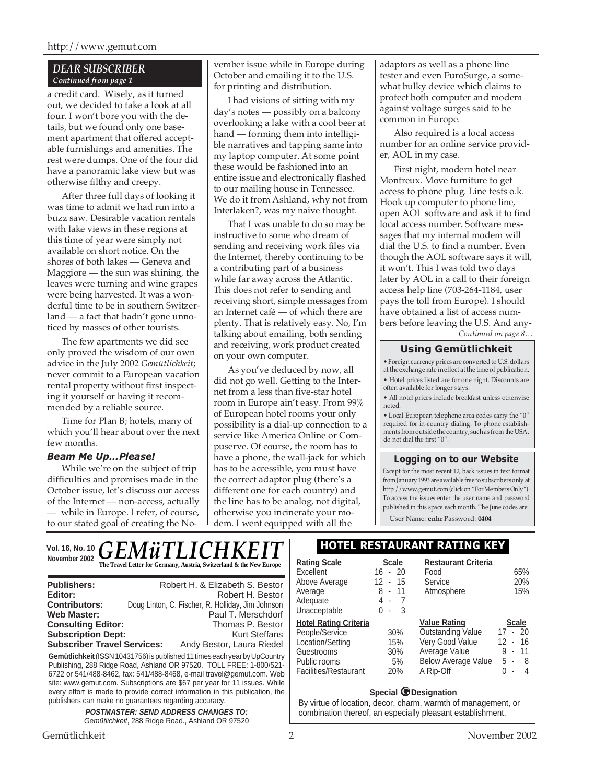#### http://www.gemut.com

#### *DEAR SUBSCRIBER Continued from page 1*

a credit card. Wisely, as it turned out, we decided to take a look at all four. I won't bore you with the details, but we found only one basement apartment that offered acceptable furnishings and amenities. The rest were dumps. One of the four did have a panoramic lake view but was otherwise filthy and creepy.

After three full days of looking it was time to admit we had run into a buzz saw. Desirable vacation rentals with lake views in these regions at this time of year were simply not available on short notice. On the shores of both lakes — Geneva and Maggiore — the sun was shining, the leaves were turning and wine grapes were being harvested. It was a wonderful time to be in southern Switzerland — a fact that hadn't gone unnoticed by masses of other tourists.

The few apartments we did see only proved the wisdom of our own advice in the July 2002 *Gemütlichkeit*; never commit to a European vacation rental property without first inspecting it yourself or having it recommended by a reliable source.

Time for Plan B; hotels, many of which you'll hear about over the next few months.

#### *Beam Me Up...Please!*

While we're on the subject of trip difficulties and promises made in the October issue, let's discuss our access of the Internet — non-access, actually — while in Europe. I refer, of course, to our stated goal of creating the November issue while in Europe during October and emailing it to the U.S. for printing and distribution.

I had visions of sitting with my day's notes — possibly on a balcony overlooking a lake with a cool beer at hand — forming them into intelligible narratives and tapping same into my laptop computer. At some point these would be fashioned into an entire issue and electronically flashed to our mailing house in Tennessee. We do it from Ashland, why not from Interlaken?, was my naive thought.

That I was unable to do so may be instructive to some who dream of sending and receiving work files via the Internet, thereby continuing to be a contributing part of a business while far away across the Atlantic. This does not refer to sending and receiving short, simple messages from an Internet café — of which there are plenty. That is relatively easy. No, I'm talking about emailing, both sending and receiving, work product created on your own computer.

As you've deduced by now, all did not go well. Getting to the Internet from a less than five-star hotel room in Europe ain't easy. From 99% of European hotel rooms your only possibility is a dial-up connection to a service like America Online or Compuserve. Of course, the room has to have a phone, the wall-jack for which has to be accessible, you must have the correct adaptor plug (there's a different one for each country) and the line has to be analog, not digital, otherwise you incinerate your modem. I went equipped with all the

adaptors as well as a phone line tester and even EuroSurge, a somewhat bulky device which claims to protect both computer and modem against voltage surges said to be common in Europe.

Also required is a local access number for an online service provider, AOL in my case.

First night, modern hotel near Montreux. Move furniture to get access to phone plug. Line tests o.k. Hook up computer to phone line, open AOL software and ask it to find local access number. Software messages that my internal modem will dial the U.S. to find a number. Even though the AOL software says it will, it won't. This I was told two days later by AOL in a call to their foreign access help line (703-264-1184, user pays the toll from Europe). I should have obtained a list of access numbers before leaving the U.S. And any-

*Continued on page 8…*

#### **Using Gemütlichkeit**

• Foreign currency prices are converted to U.S. dollars at the exchange rate in effect at the time of publication. • Hotel prices listed are for one night. Discounts are often available for longer stays.

• All hotel prices include breakfast unless otherwise noted.

• Local European telephone area codes carry the "0" required for in-country dialing. To phone establishments from outside the country, such as from the USA, do not dial the first "0".

#### **Logging on to our Website**

Except for the most recent 12, back issues in text format from January 1993 are available free to subscribers only at http://www.gemut.com (click on "For Members Only"). To access the issues enter the user name and password published in this space each month. The June codes are:

User Name: **enhr** Password: **0404**

### **November 2002 Rating Scale**<br> **Rating Scale Scale Scale Scale Rating Scale Scale Rating Scale Scale** Vol. 16, No. 10  $GEMiiTLI$

| <b>Publishers:</b><br>Editor:                                                                                                                                                                                                                                                                                                                                                                                                                    | Robert H. & Elizabeth S. Bestor<br>Robert H. Bestor |  |  |  |
|--------------------------------------------------------------------------------------------------------------------------------------------------------------------------------------------------------------------------------------------------------------------------------------------------------------------------------------------------------------------------------------------------------------------------------------------------|-----------------------------------------------------|--|--|--|
| <b>Contributors:</b>                                                                                                                                                                                                                                                                                                                                                                                                                             | Doug Linton, C. Fischer, R. Holliday, Jim Johnson   |  |  |  |
| Web Master:                                                                                                                                                                                                                                                                                                                                                                                                                                      | Paul T. Merschdorf                                  |  |  |  |
| <b>Consulting Editor:</b>                                                                                                                                                                                                                                                                                                                                                                                                                        | Thomas P. Bestor                                    |  |  |  |
| <b>Subscription Dept:</b>                                                                                                                                                                                                                                                                                                                                                                                                                        | Kurt Steffans                                       |  |  |  |
| <b>Subscriber Travel Services:</b>                                                                                                                                                                                                                                                                                                                                                                                                               | Andy Bestor, Laura Riedel                           |  |  |  |
| Gemütlichkeit (ISSN 10431756) is published 11 times each year by UpCountry<br>Publishing, 288 Ridge Road, Ashland OR 97520. TOLL FREE: 1-800/521-<br>6722 or 541/488-8462, fax: 541/488-8468, e-mail travel@gemut.com. Web<br>site: www.gemut.com. Subscriptions are \$67 per year for 11 issues. While<br>every effort is made to provide correct information in this publication, the<br>publishers can make no guarantees regarding accuracy. |                                                     |  |  |  |
| <b>POSTMASTER: SEND ADDRESS CHANGES TO:</b>                                                                                                                                                                                                                                                                                                                                                                                                      |                                                     |  |  |  |
|                                                                                                                                                                                                                                                                                                                                                                                                                                                  | Gemütlichkeit, 288 Ridge Road., Ashland OR 97520    |  |  |  |

## $CHKEIT$  **HOTEL RESTAURANT RATING KEY**

| <b>Rating Scale</b><br>Excellent<br>Above Average<br>Average<br>Adequate<br>Unacceptable                                  | Scale<br>$16 - 20$<br>12 - 15<br>$8 - 11$<br>4 -<br>$\overline{7}$<br>0<br>3<br>$\sim$ | <b>Restaurant Criteria</b><br>Food<br>Service<br>Atmosphere                                                                    | 65%<br>20%<br>15%                                                                |
|---------------------------------------------------------------------------------------------------------------------------|----------------------------------------------------------------------------------------|--------------------------------------------------------------------------------------------------------------------------------|----------------------------------------------------------------------------------|
| <b>Hotel Rating Criteria</b><br>People/Service<br>Location/Setting<br>Guestrooms<br>Public rooms<br>Facilities/Restaurant | 30%<br>15%<br>30%<br>5%<br>20%                                                         | <b>Value Rating</b><br><b>Outstanding Value</b><br>Very Good Value<br>Average Value<br><b>Below Average Value</b><br>A Rip-Off | <b>Scale</b><br>$17 - 20$<br>$12 - 16$<br>- 11<br>9<br>5 -<br>- 8<br>U<br>4<br>٠ |

#### **Special © Designation**

By virtue of location, decor, charm, warmth of management, or combination thereof, an especially pleasant establishment.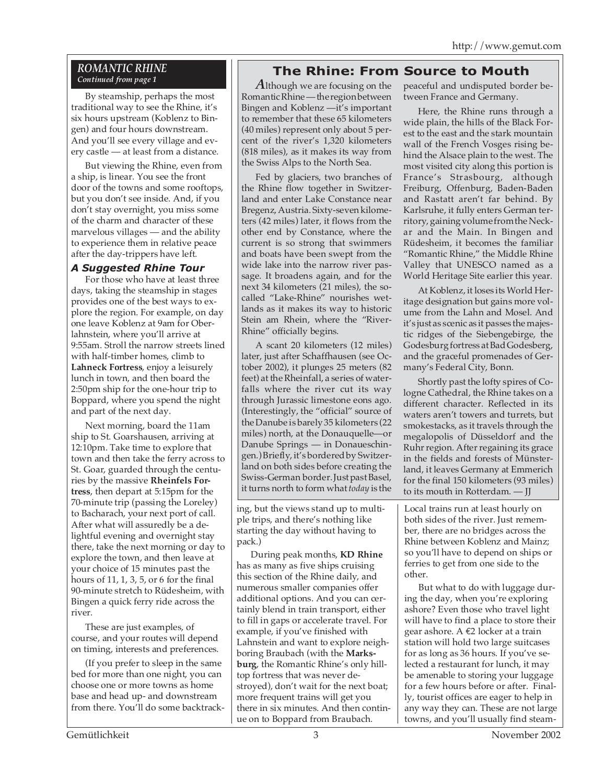#### *ROMANTIC RHINE Continued from page 1*

By steamship, perhaps the most traditional way to see the Rhine, it's six hours upstream (Koblenz to Bingen) and four hours downstream. And you'll see every village and every castle — at least from a distance.

But viewing the Rhine, even from a ship, is linear. You see the front door of the towns and some rooftops, but you don't see inside. And, if you don't stay overnight, you miss some of the charm and character of these marvelous villages — and the ability to experience them in relative peace after the day-trippers have left.

#### *A Suggested Rhine Tour*

For those who have at least three days, taking the steamship in stages provides one of the best ways to explore the region. For example, on day one leave Koblenz at 9am for Oberlahnstein, where you'll arrive at 9:55am. Stroll the narrow streets lined with half-timber homes, climb to **Lahneck Fortress**, enjoy a leisurely lunch in town, and then board the 2:50pm ship for the one-hour trip to Boppard, where you spend the night and part of the next day.

Next morning, board the 11am ship to St. Goarshausen, arriving at 12:10pm. Take time to explore that town and then take the ferry across to St. Goar, guarded through the centuries by the massive **Rheinfels Fortress**, then depart at 5:15pm for the 70-minute trip (passing the Loreley) to Bacharach, your next port of call. After what will assuredly be a delightful evening and overnight stay there, take the next morning or day to explore the town, and then leave at your choice of 15 minutes past the hours of 11, 1, 3, 5, or 6 for the final 90-minute stretch to Rüdesheim, with Bingen a quick ferry ride across the river.

These are just examples, of course, and your routes will depend on timing, interests and preferences.

(If you prefer to sleep in the same bed for more than one night, you can choose one or more towns as home base and head up- and downstream from there. You'll do some backtrack-

## **The Rhine: From Source to Mouth**

*A*lthough we are focusing on the Romantic Rhine — the region between Bingen and Koblenz —it's important to remember that these 65 kilometers (40 miles) represent only about 5 percent of the river's 1,320 kilometers (818 miles), as it makes its way from the Swiss Alps to the North Sea.

Fed by glaciers, two branches of the Rhine flow together in Switzerland and enter Lake Constance near Bregenz, Austria. Sixty-seven kilometers (42 miles) later, it flows from the other end by Constance, where the current is so strong that swimmers and boats have been swept from the wide lake into the narrow river passage. It broadens again, and for the next 34 kilometers (21 miles), the socalled "Lake-Rhine" nourishes wetlands as it makes its way to historic Stein am Rhein, where the "River-Rhine" officially begins.

A scant 20 kilometers (12 miles) later, just after Schaffhausen (see October 2002), it plunges 25 meters (82 feet) at the Rheinfall, a series of waterfalls where the river cut its way through Jurassic limestone eons ago. (Interestingly, the "official" source of the Danube is barely 35 kilometers (22 miles) north, at the Donauquelle—or Danube Springs — in Donaueschingen.) Briefly, it's bordered by Switzerland on both sides before creating the Swiss-German border. Just past Basel, it turns north to form what *today* is the

ing, but the views stand up to multiple trips, and there's nothing like starting the day without having to pack.)

During peak months, **KD Rhine** has as many as five ships cruising this section of the Rhine daily, and numerous smaller companies offer additional options. And you can certainly blend in train transport, either to fill in gaps or accelerate travel. For example, if you've finished with Lahnstein and want to explore neighboring Braubach (with the **Marksburg**, the Romantic Rhine's only hilltop fortress that was never destroyed), don't wait for the next boat; more frequent trains will get you there in six minutes. And then continue on to Boppard from Braubach.

peaceful and undisputed border between France and Germany.

Here, the Rhine runs through a wide plain, the hills of the Black Forest to the east and the stark mountain wall of the French Vosges rising behind the Alsace plain to the west. The most visited city along this portion is France's Strasbourg, although Freiburg, Offenburg, Baden-Baden and Rastatt aren't far behind. By Karlsruhe, it fully enters German territory, gaining volume from the Neckar and the Main. In Bingen and Rüdesheim, it becomes the familiar "Romantic Rhine," the Middle Rhine Valley that UNESCO named as a World Heritage Site earlier this year.

At Koblenz, it loses its World Heritage designation but gains more volume from the Lahn and Mosel. And it's just as scenic as it passes the majestic ridges of the Siebengebirge, the Godesburg fortress at Bad Godesberg, and the graceful promenades of Germany's Federal City, Bonn.

Shortly past the lofty spires of Cologne Cathedral, the Rhine takes on a different character. Reflected in its waters aren't towers and turrets, but smokestacks, as it travels through the megalopolis of Düsseldorf and the Ruhr region. After regaining its grace in the fields and forests of Münsterland, it leaves Germany at Emmerich for the final 150 kilometers (93 miles) to its mouth in Rotterdam. — JJ

Local trains run at least hourly on both sides of the river. Just remember, there are no bridges across the Rhine between Koblenz and Mainz; so you'll have to depend on ships or ferries to get from one side to the other.

But what to do with luggage during the day, when you're exploring ashore? Even those who travel light will have to find a place to store their gear ashore. A €2 locker at a train station will hold two large suitcases for as long as 36 hours. If you've selected a restaurant for lunch, it may be amenable to storing your luggage for a few hours before or after. Finally, tourist offices are eager to help in any way they can. These are not large towns, and you'll usually find steam-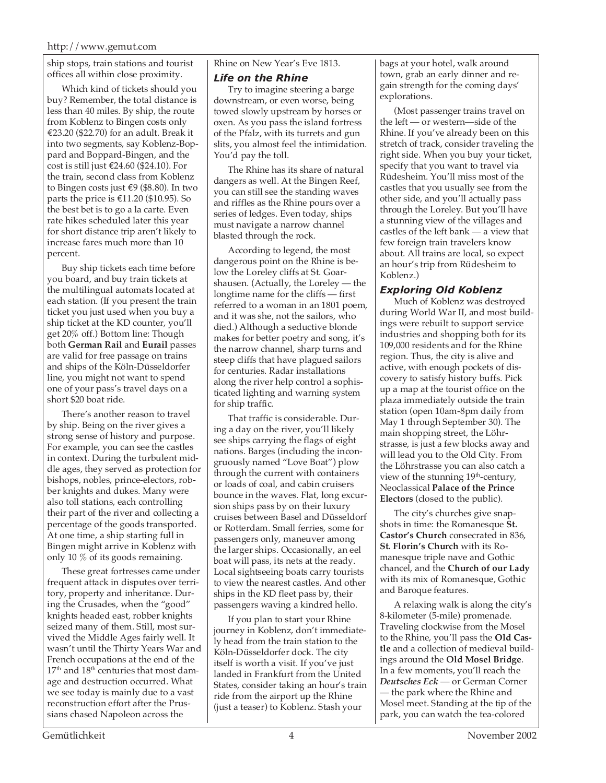#### http://www.gemut.com

ship stops, train stations and tourist offices all within close proximity.

Which kind of tickets should you buy? Remember, the total distance is less than 40 miles. By ship, the route from Koblenz to Bingen costs only €23.20 (\$22.70) for an adult. Break it into two segments, say Koblenz-Boppard and Boppard-Bingen, and the cost is still just  $\text{\textsterling}24.60$  (\$24.10). For the train, second class from Koblenz to Bingen costs just €9 (\$8.80). In two parts the price is €11.20 (\$10.95). So the best bet is to go a la carte. Even rate hikes scheduled later this year for short distance trip aren't likely to increase fares much more than 10 percent.

Buy ship tickets each time before you board, and buy train tickets at the multilingual automats located at each station. (If you present the train ticket you just used when you buy a ship ticket at the KD counter, you'll get 20% off.) Bottom line: Though both **German Rail** and **Eurail** passes are valid for free passage on trains and ships of the Köln-Düsseldorfer line, you might not want to spend one of your pass's travel days on a short \$20 boat ride.

There's another reason to travel by ship. Being on the river gives a strong sense of history and purpose. For example, you can see the castles in context. During the turbulent middle ages, they served as protection for bishops, nobles, prince-electors, robber knights and dukes. Many were also toll stations, each controlling their part of the river and collecting a percentage of the goods transported. At one time, a ship starting full in Bingen might arrive in Koblenz with only 10 % of its goods remaining.

These great fortresses came under frequent attack in disputes over territory, property and inheritance. During the Crusades, when the "good" knights headed east, robber knights seized many of them. Still, most survived the Middle Ages fairly well. It wasn't until the Thirty Years War and French occupations at the end of the  $17<sup>th</sup>$  and  $18<sup>th</sup>$  centuries that most damage and destruction occurred. What we see today is mainly due to a vast reconstruction effort after the Prussians chased Napoleon across the

Rhine on New Year's Eve 1813.

#### *Life on the Rhine*

Try to imagine steering a barge downstream, or even worse, being towed slowly upstream by horses or oxen. As you pass the island fortress of the Pfalz, with its turrets and gun slits, you almost feel the intimidation. You'd pay the toll.

The Rhine has its share of natural dangers as well. At the Bingen Reef, you can still see the standing waves and riffles as the Rhine pours over a series of ledges. Even today, ships must navigate a narrow channel blasted through the rock.

According to legend, the most dangerous point on the Rhine is below the Loreley cliffs at St. Goarshausen. (Actually, the Loreley — the longtime name for the cliffs — first referred to a woman in an 1801 poem, and it was she, not the sailors, who died.) Although a seductive blonde makes for better poetry and song, it's the narrow channel, sharp turns and steep cliffs that have plagued sailors for centuries. Radar installations along the river help control a sophisticated lighting and warning system for ship traffic.

That traffic is considerable. During a day on the river, you'll likely see ships carrying the flags of eight nations. Barges (including the incongruously named "Love Boat") plow through the current with containers or loads of coal, and cabin cruisers bounce in the waves. Flat, long excursion ships pass by on their luxury cruises between Basel and Düsseldorf or Rotterdam. Small ferries, some for passengers only, maneuver among the larger ships. Occasionally, an eel boat will pass, its nets at the ready. Local sightseeing boats carry tourists to view the nearest castles. And other ships in the KD fleet pass by, their passengers waving a kindred hello.

If you plan to start your Rhine journey in Koblenz, don't immediately head from the train station to the Köln-Düsseldorfer dock. The city itself is worth a visit. If you've just landed in Frankfurt from the United States, consider taking an hour's train ride from the airport up the Rhine (just a teaser) to Koblenz. Stash your

bags at your hotel, walk around town, grab an early dinner and regain strength for the coming days' explorations.

(Most passenger trains travel on the left — or western—side of the Rhine. If you've already been on this stretch of track, consider traveling the right side. When you buy your ticket, specify that you want to travel via Rüdesheim. You'll miss most of the castles that you usually see from the other side, and you'll actually pass through the Loreley. But you'll have a stunning view of the villages and castles of the left bank — a view that few foreign train travelers know about. All trains are local, so expect an hour's trip from Rüdesheim to Koblenz.)

#### *Exploring Old Koblenz*

Much of Koblenz was destroyed during World War II, and most buildings were rebuilt to support service industries and shopping both for its 109,000 residents and for the Rhine region. Thus, the city is alive and active, with enough pockets of discovery to satisfy history buffs. Pick up a map at the tourist office on the plaza immediately outside the train station (open 10am-8pm daily from May 1 through September 30). The main shopping street, the Löhrstrasse, is just a few blocks away and will lead you to the Old City. From the Löhrstrasse you can also catch a view of the stunning 19<sup>th</sup>-century, Neoclassical **Palace of the Prince Electors** (closed to the public).

The city's churches give snapshots in time: the Romanesque **St. Castor's Church** consecrated in 836, **St. Florin's Church** with its Romanesque triple nave and Gothic chancel, and the **Church of our Lady** with its mix of Romanesque, Gothic and Baroque features.

A relaxing walk is along the city's 8-kilometer (5-mile) promenade. Traveling clockwise from the Mosel to the Rhine, you'll pass the **Old Castle** and a collection of medieval buildings around the **Old Mosel Bridge**. In a few moments, you'll reach the *Deutsches Eck* — or German Corner — the park where the Rhine and Mosel meet. Standing at the tip of the park, you can watch the tea-colored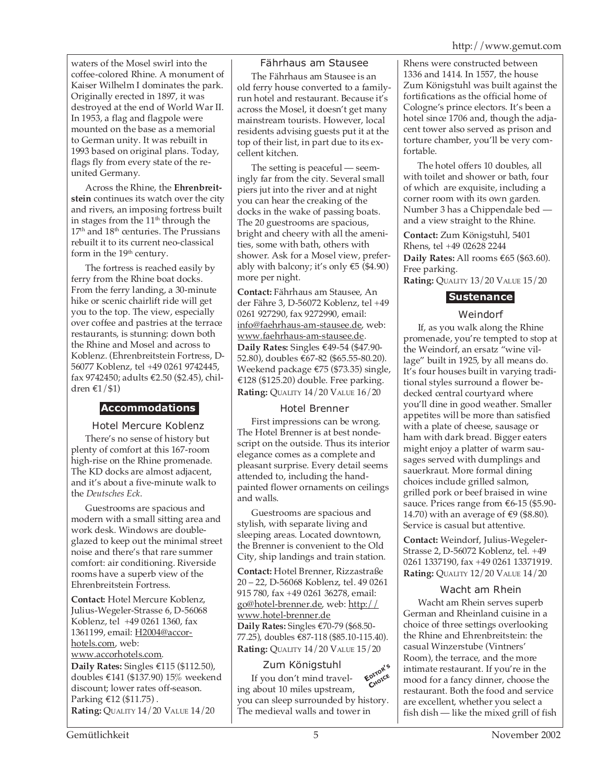waters of the Mosel swirl into the coffee-colored Rhine. A monument of Kaiser Wilhelm I dominates the park. Originally erected in 1897, it was destroyed at the end of World War II. In 1953, a flag and flagpole were mounted on the base as a memorial to German unity. It was rebuilt in 1993 based on original plans. Today, flags fly from every state of the reunited Germany.

Across the Rhine, the **Ehrenbreitstein** continues its watch over the city and rivers, an imposing fortress built in stages from the 11<sup>th</sup> through the  $17<sup>th</sup>$  and  $18<sup>th</sup>$  centuries. The Prussians rebuilt it to its current neo-classical form in the 19<sup>th</sup> century.

The fortress is reached easily by ferry from the Rhine boat docks. From the ferry landing, a 30-minute hike or scenic chairlift ride will get you to the top. The view, especially over coffee and pastries at the terrace restaurants, is stunning: down both the Rhine and Mosel and across to Koblenz. (Ehrenbreitstein Fortress, D-56077 Koblenz, tel +49 0261 9742445, fax 9742450; adults €2.50 (\$2.45), children  $\epsilon$ 1/\$1)

#### **Accommodations**

#### Hotel Mercure Koblenz

There's no sense of history but plenty of comfort at this 167-room high-rise on the Rhine promenade. The KD docks are almost adjacent, and it's about a five-minute walk to the *Deutsches Eck*.

Guestrooms are spacious and modern with a small sitting area and work desk. Windows are doubleglazed to keep out the minimal street noise and there's that rare summer comfort: air conditioning. Riverside rooms have a superb view of the Ehrenbreitstein Fortress.

**Contact:** Hotel Mercure Koblenz, Julius-Wegeler-Strasse 6, D-56068 Koblenz, tel +49 0261 1360, fax 1361199, email: H2004@accorhotels.com, web: www.accorhotels.com. **Daily Rates:** Singles €115 (\$112.50), doubles €141 (\$137.90) 15% weekend discount; lower rates off-season. Parking €12 (\$11.75) . **Rating:** QUALITY 14/20 VALUE 14/20

#### Fährhaus am Stausee

The Fährhaus am Stausee is an old ferry house converted to a familyrun hotel and restaurant. Because it's across the Mosel, it doesn't get many mainstream tourists. However, local residents advising guests put it at the top of their list, in part due to its excellent kitchen.

The setting is peaceful — seemingly far from the city. Several small piers jut into the river and at night you can hear the creaking of the docks in the wake of passing boats. The 20 guestrooms are spacious, bright and cheery with all the amenities, some with bath, others with shower. Ask for a Mosel view, preferably with balcony; it's only  $\text{\ensuremath{\in}} 5 \text{ (\$4.90)}$ more per night.

**Contact:** Fährhaus am Stausee, An der Fähre 3, D-56072 Koblenz, tel +49 0261 927290, fax 9272990, email: info@faehrhaus-am-stausee.de, web: www.faehrhaus-am-stausee.de. **Daily Rates:** Singles €49-54 (\$47.90- 52.80), doubles €67-82 (\$65.55-80.20). Weekend package €75 (\$73.35) single, €128 (\$125.20) double. Free parking. **Rating:** QUALITY 14/20 VALUE 16/20

#### Hotel Brenner

First impressions can be wrong. The Hotel Brenner is at best nondescript on the outside. Thus its interior elegance comes as a complete and pleasant surprise. Every detail seems attended to, including the handpainted flower ornaments on ceilings and walls.

Guestrooms are spacious and stylish, with separate living and sleeping areas. Located downtown, the Brenner is convenient to the Old City, ship landings and train station.

**Contact:** Hotel Brenner, Rizzastraße 20 – 22, D-56068 Koblenz, tel. 49 0261 915 780, fax +49 0261 36278, email: go@hotel-brenner.de, web: http:// www.hotel-brenner.de **Daily Rates:** Singles €70-79 (\$68.50- 77.25), doubles €87-118 (\$85.10-115.40). **Rating:** QUALITY 14/20 VALUE 15/20

#### Zum Königstuhl

If you don't mind traveling about 10 miles upstream, you can sleep surrounded by history. The medieval walls and tower in **EDITOR'<sup>S</sup> CHOICE**

Rhens were constructed between 1336 and 1414. In 1557, the house Zum Königstuhl was built against the fortifications as the official home of Cologne's prince electors. It's been a hotel since 1706 and, though the adjacent tower also served as prison and torture chamber, you'll be very comfortable.

The hotel offers 10 doubles, all with toilet and shower or bath, four of which are exquisite, including a corner room with its own garden. Number 3 has a Chippendale bed and a view straight to the Rhine.

**Contact:** Zum Königstuhl, 5401 Rhens, tel +49 02628 2244 **Daily Rates:** All rooms €65 (\$63.60). Free parking. **Rating:** QUALITY 13/20 VALUE 15/20

## **Sustenance**

## Weindorf

If, as you walk along the Rhine promenade, you're tempted to stop at the Weindorf, an ersatz "wine village" built in 1925, by all means do. It's four houses built in varying traditional styles surround a flower bedecked central courtyard where you'll dine in good weather. Smaller appetites will be more than satisfied with a plate of cheese, sausage or ham with dark bread. Bigger eaters might enjoy a platter of warm sausages served with dumplings and sauerkraut. More formal dining choices include grilled salmon, grilled pork or beef braised in wine sauce. Prices range from €6-15 (\$5.90- 14.70) with an average of €9 (\$8.80). Service is casual but attentive.

**Contact:** Weindorf, Julius-Wegeler-Strasse 2, D-56072 Koblenz, tel. +49 0261 1337190, fax +49 0261 13371919. **Rating:** QUALITY 12/20 VALUE 14/20

#### Wacht am Rhein

Wacht am Rhein serves superb German and Rheinland cuisine in a choice of three settings overlooking the Rhine and Ehrenbreitstein: the casual Winzerstube (Vintners' Room), the terrace, and the more intimate restaurant. If you're in the mood for a fancy dinner, choose the restaurant. Both the food and service are excellent, whether you select a fish dish — like the mixed grill of fish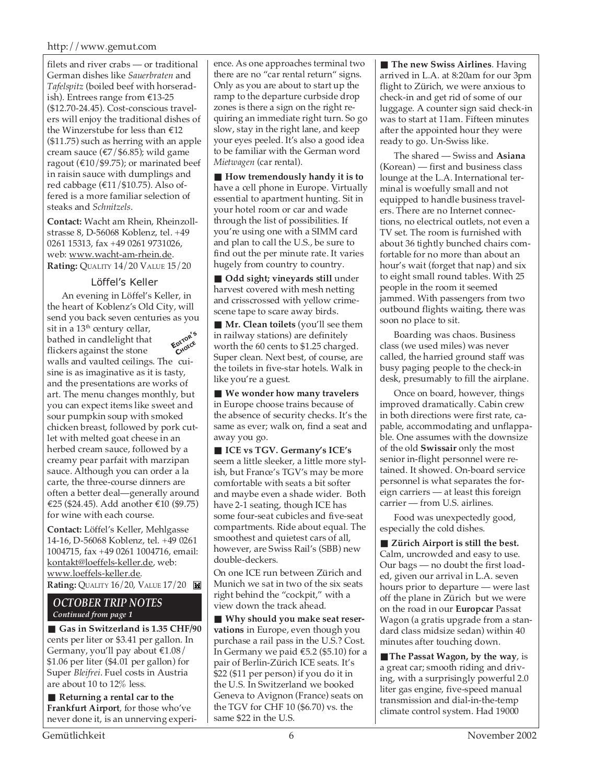filets and river crabs — or traditional German dishes like *Sauerbraten* and *Tafelspitz* (boiled beef with horseradish). Entrees range from €13-25 (\$12.70-24.45). Cost-conscious travelers will enjoy the traditional dishes of the Winzerstube for less than €12 (\$11.75) such as herring with an apple cream sauce (€7/\$6.85); wild game ragout ( $\text{\textsterling}10/\text{\textsterling}9.75$ ); or marinated beef in raisin sauce with dumplings and red cabbage (€11/\$10.75). Also offered is a more familiar selection of steaks and *Schnitzels*.

**Contact:** Wacht am Rhein, Rheinzollstrasse 8, D-56068 Koblenz, tel. +49 0261 15313, fax +49 0261 9731026, web: www.wacht-am-rhein.de. **Rating:** QUALITY 14/20 VALUE 15/20

#### Löffel's Keller

An evening in Löffel's Keller, in the heart of Koblenz's Old City, will send you back seven centuries as you sit in a  $13<sup>th</sup>$  century cellar, bathed in candlelight that flickers against the stone walls and vaulted ceilings. The cuisine is as imaginative as it is tasty, and the presentations are works of art. The menu changes monthly, but you can expect items like sweet and sour pumpkin soup with smoked chicken breast, followed by pork cutlet with melted goat cheese in an herbed cream sauce, followed by a creamy pear parfait with marzipan sauce. Although you can order a la carte, the three-course dinners are often a better deal—generally around €25 (\$24.45). Add another €10 (\$9.75) for wine with each course. **EDITOR'<sup>S</sup> CHOICE**

**Contact:** Löffel's Keller, Mehlgasse 14-16, D-56068 Koblenz, tel. +49 0261 1004715, fax +49 0261 1004716, email: kontakt@loeffels-keller.de, web: www.loeffels-keller.de. **Rating: QUALITY 16/20, VALUE 17/20** 

#### *OCTOBER TRIP NOTES Continued from page 1*

■ Gas in Switzerland is 1.35 CHF/90 cents per liter or \$3.41 per gallon. In Germany, you'll pay about €1.08/ \$1.06 per liter (\$4.01 per gallon) for Super *Bleifrei*. Fuel costs in Austria are about 10 to 12% less.

■ **Returning a rental car to the Frankfurt Airport**, for those who've never done it, is an unnerving experi-

ence. As one approaches terminal two there are no "car rental return" signs. Only as you are about to start up the ramp to the departure curbside drop zones is there a sign on the right requiring an immediate right turn. So go slow, stay in the right lane, and keep your eyes peeled. It's also a good idea to be familiar with the German word *Mietwagen* (car rental).

■ **How tremendously handy** it is to have a cell phone in Europe. Virtually essential to apartment hunting. Sit in your hotel room or car and wade through the list of possibilities. If you're using one with a SIMM card and plan to call the U.S., be sure to find out the per minute rate. It varies hugely from country to country.

■ **Odd sight; vineyards still under** harvest covered with mesh netting and crisscrossed with yellow crimescene tape to scare away birds.

■ **Mr. Clean toilets** (you'll see them in railway stations) are definitely worth the 60 cents to \$1.25 charged. Super clean. Next best, of course, are the toilets in five-star hotels. Walk in like you're a guest.

■ **We wonder how many travelers** in Europe choose trains because of the absence of security checks. It's the same as ever; walk on, find a seat and away you go.

■ **ICE vs TGV. Germany's ICE's** seem a little sleeker, a little more stylish, but France's TGV's may be more comfortable with seats a bit softer and maybe even a shade wider. Both have 2-1 seating, though ICE has some four-seat cubicles and five-seat compartments. Ride about equal. The smoothest and quietest cars of all, however, are Swiss Rail's (SBB) new double-deckers.

On one ICE run between Zürich and Munich we sat in two of the six seats right behind the "cockpit," with a view down the track ahead.

■ Why should you make seat reser**vations** in Europe, even though you purchase a rail pass in the U.S.? Cost. In Germany we paid  $\text{\textsterling}5.2$  (\$5.10) for a pair of Berlin-Zürich ICE seats. It's \$22 (\$11 per person) if you do it in the U.S. In Switzerland we booked Geneva to Avignon (France) seats on the TGV for CHF 10 (\$6.70) vs. the same \$22 in the U.S.

■ **The new Swiss Airlines**. Having arrived in L.A. at 8:20am for our 3pm flight to Zürich, we were anxious to check-in and get rid of some of our luggage. A counter sign said check-in was to start at 11am. Fifteen minutes after the appointed hour they were ready to go. Un-Swiss like.

The shared — Swiss and **Asiana** (Korean) — first and business class lounge at the L.A. International terminal is woefully small and not equipped to handle business travelers. There are no Internet connections, no electrical outlets, not even a TV set. The room is furnished with about 36 tightly bunched chairs comfortable for no more than about an hour's wait (forget that nap) and six to eight small round tables. With 25 people in the room it seemed jammed. With passengers from two outbound flights waiting, there was soon no place to sit.

Boarding was chaos. Business class (we used miles) was never called, the harried ground staff was busy paging people to the check-in desk, presumably to fill the airplane.

Once on board, however, things improved dramatically. Cabin crew in both directions were first rate, capable, accommodating and unflappable. One assumes with the downsize of the old **Swissair** only the most senior in-flight personnel were retained. It showed. On-board service personnel is what separates the foreign carriers — at least this foreign carrier — from U.S. airlines.

Food was unexpectedly good, especially the cold dishes.

■ **Zürich Airport is still the best.** Calm, uncrowded and easy to use. Our bags — no doubt the first loaded, given our arrival in L.A. seven hours prior to departure — were last off the plane in Zürich but we were on the road in our **Europcar** Passat Wagon (a gratis upgrade from a standard class midsize sedan) within 40 minutes after touching down.

■ **The Passat Wagon, by the way**, is a great car; smooth riding and driving, with a surprisingly powerful 2.0 liter gas engine, five-speed manual transmission and dial-in-the-temp climate control system. Had 19000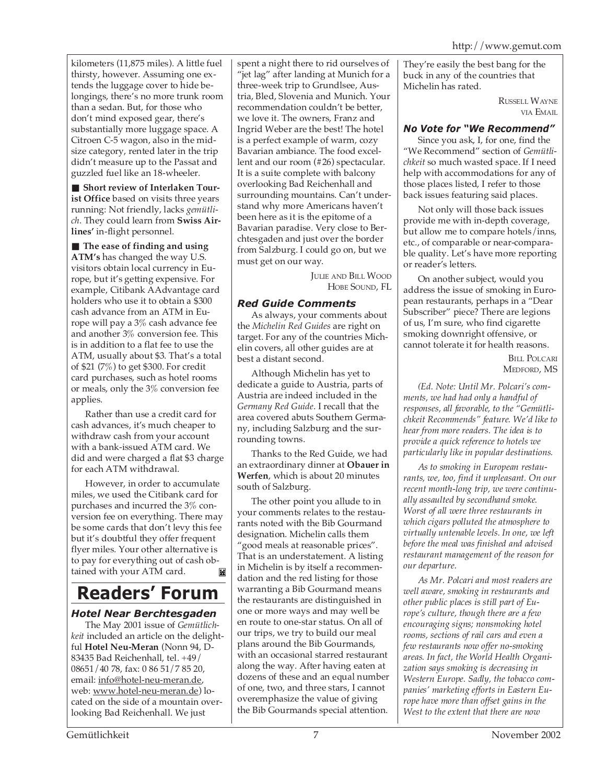kilometers (11,875 miles). A little fuel thirsty, however. Assuming one extends the luggage cover to hide belongings, there's no more trunk room than a sedan. But, for those who don't mind exposed gear, there's substantially more luggage space. A Citroen C-5 wagon, also in the midsize category, rented later in the trip didn't measure up to the Passat and guzzled fuel like an 18-wheeler.

■ **Short review of Interlaken Tourist Office** based on visits three years running: Not friendly, lacks *gemütlich*. They could learn from **Swiss Airlines'** in-flight personnel.

■ **The ease of finding and using ATM's** has changed the way U.S. visitors obtain local currency in Europe, but it's getting expensive. For example, Citibank AAdvantage card holders who use it to obtain a \$300 cash advance from an ATM in Europe will pay a 3% cash advance fee and another 3% conversion fee. This is in addition to a flat fee to use the ATM, usually about \$3. That's a total of \$21 (7%) to get \$300. For credit card purchases, such as hotel rooms or meals, only the 3% conversion fee applies.

Rather than use a credit card for cash advances, it's much cheaper to withdraw cash from your account with a bank-issued ATM card. We did and were charged a flat \$3 charge for each ATM withdrawal.

However, in order to accumulate miles, we used the Citibank card for purchases and incurred the 3% conversion fee on everything. There may be some cards that don't levy this fee but it's doubtful they offer frequent flyer miles. Your other alternative is to pay for everything out of cash obtained with your ATM card.  $\blacksquare$ 

## **Readers' Forum**

## *Hotel Near Berchtesgaden*

The May 2001 issue of *Gemütlichkeit* included an article on the delightful **Hotel Neu-Meran** (Nonn 94, D-83435 Bad Reichenhall, tel. +49/ 08651/40 78, fax: 0 86 51/7 85 20, email: info@hotel-neu-meran.de, web: www.hotel-neu-meran.de) located on the side of a mountain overlooking Bad Reichenhall. We just

spent a night there to rid ourselves of "jet lag" after landing at Munich for a three-week trip to Grundlsee, Austria, Bled, Slovenia and Munich. Your recommendation couldn't be better, we love it. The owners, Franz and Ingrid Weber are the best! The hotel is a perfect example of warm, cozy Bavarian ambiance. The food excellent and our room (#26) spectacular. It is a suite complete with balcony overlooking Bad Reichenhall and surrounding mountains. Can't understand why more Americans haven't been here as it is the epitome of a Bavarian paradise. Very close to Berchtesgaden and just over the border from Salzburg. I could go on, but we must get on our way.

> JULIE AND BILL WOOD HOBE SOUND, FL

## *Red Guide Comments*

As always, your comments about the *Michelin Red Guides* are right on target. For any of the countries Michelin covers, all other guides are at best a distant second.

Although Michelin has yet to dedicate a guide to Austria, parts of Austria are indeed included in the *Germany Red Guide*. I recall that the area covered abuts Southern Germany, including Salzburg and the surrounding towns.

Thanks to the Red Guide, we had an extraordinary dinner at **Obauer in Werfen**, which is about 20 minutes south of Salzburg.

The other point you allude to in your comments relates to the restaurants noted with the Bib Gourmand designation. Michelin calls them "good meals at reasonable prices". That is an understatement. A listing in Michelin is by itself a recommendation and the red listing for those warranting a Bib Gourmand means the restaurants are distinguished in one or more ways and may well be en route to one-star status. On all of our trips, we try to build our meal plans around the Bib Gourmands, with an occasional starred restaurant along the way. After having eaten at dozens of these and an equal number of one, two, and three stars, I cannot overemphasize the value of giving the Bib Gourmands special attention.

They're easily the best bang for the buck in any of the countries that Michelin has rated.

> RUSSELL WAYNE VIA EMAIL

### *No Vote for "We Recommend"*

Since you ask, I, for one, find the "We Recommend" section of *Gemütlichkeit* so much wasted space. If I need help with accommodations for any of those places listed, I refer to those back issues featuring said places.

Not only will those back issues provide me with in-depth coverage, but allow me to compare hotels/inns, etc., of comparable or near-comparable quality. Let's have more reporting or reader's letters.

On another subject, would you address the issue of smoking in European restaurants, perhaps in a "Dear Subscriber" piece? There are legions of us, I'm sure, who find cigarette smoking downright offensive, or cannot tolerate it for health reasons.

> BILL POLCARI MEDFORD, MS

*(Ed. Note: Until Mr. Polcari's comments, we had had only a handful of responses, all favorable, to the "Gemütlichkeit Recommends" feature. We'd like to hear from more readers. The idea is to provide a quick reference to hotels we particularly like in popular destinations.*

*As to smoking in European restaurants, we, too, find it unpleasant. On our recent month-long trip, we were continually assaulted by secondhand smoke. Worst of all were three restaurants in which cigars polluted the atmosphere to virtually untenable levels. In one, we left before the meal was finished and advised restaurant management of the reason for our departure.*

*As Mr. Polcari and most readers are well aware, smoking in restaurants and other public places is still part of Europe's culture, though there are a few encouraging signs; nonsmoking hotel rooms, sections of rail cars and even a few restaurants now offer no-smoking areas. In fact, the World Health Organization says smoking is decreasing in Western Europe. Sadly, the tobacco companies' marketing efforts in Eastern Europe have more than offset gains in the West to the extent that there are now*